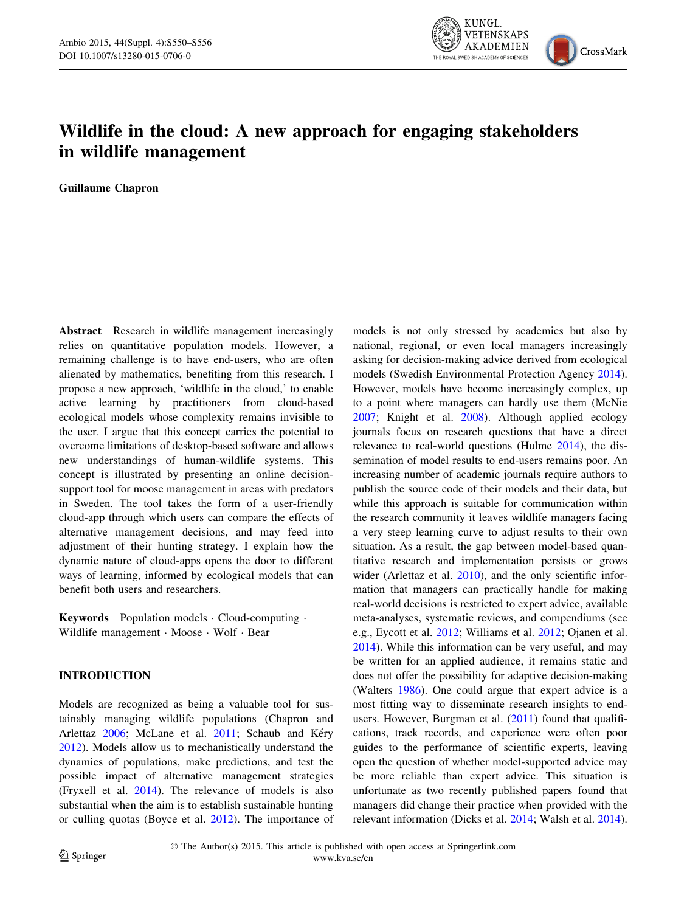

# Wildlife in the cloud: A new approach for engaging stakeholders in wildlife management

Guillaume Chapron

Abstract Research in wildlife management increasingly relies on quantitative population models. However, a remaining challenge is to have end-users, who are often alienated by mathematics, benefiting from this research. I propose a new approach, 'wildlife in the cloud,' to enable active learning by practitioners from cloud-based ecological models whose complexity remains invisible to the user. I argue that this concept carries the potential to overcome limitations of desktop-based software and allows new understandings of human-wildlife systems. This concept is illustrated by presenting an online decisionsupport tool for moose management in areas with predators in Sweden. The tool takes the form of a user-friendly cloud-app through which users can compare the effects of alternative management decisions, and may feed into adjustment of their hunting strategy. I explain how the dynamic nature of cloud-apps opens the door to different ways of learning, informed by ecological models that can benefit both users and researchers.

Keywords Population models - Cloud-computing - Wildlife management · Moose · Wolf · Bear

# INTRODUCTION

Models are recognized as being a valuable tool for sustainably managing wildlife populations (Chapron and Arlettaz [2006](#page-5-0); McLane et al. [2011](#page-5-0); Schaub and Kéry [2012\)](#page-5-0). Models allow us to mechanistically understand the dynamics of populations, make predictions, and test the possible impact of alternative management strategies (Fryxell et al. [2014\)](#page-5-0). The relevance of models is also substantial when the aim is to establish sustainable hunting or culling quotas (Boyce et al. [2012\)](#page-5-0). The importance of models is not only stressed by academics but also by national, regional, or even local managers increasingly asking for decision-making advice derived from ecological models (Swedish Environmental Protection Agency [2014](#page-5-0)). However, models have become increasingly complex, up to a point where managers can hardly use them (McNie [2007](#page-5-0); Knight et al. [2008\)](#page-5-0). Although applied ecology journals focus on research questions that have a direct relevance to real-world questions (Hulme [2014\)](#page-5-0), the dissemination of model results to end-users remains poor. An increasing number of academic journals require authors to publish the source code of their models and their data, but while this approach is suitable for communication within the research community it leaves wildlife managers facing a very steep learning curve to adjust results to their own situation. As a result, the gap between model-based quantitative research and implementation persists or grows wider (Arlettaz et al. [2010](#page-5-0)), and the only scientific information that managers can practically handle for making real-world decisions is restricted to expert advice, available meta-analyses, systematic reviews, and compendiums (see e.g., Eycott et al. [2012](#page-5-0); Williams et al. [2012;](#page-6-0) Ojanen et al. [2014](#page-5-0)). While this information can be very useful, and may be written for an applied audience, it remains static and does not offer the possibility for adaptive decision-making (Walters [1986\)](#page-6-0). One could argue that expert advice is a most fitting way to disseminate research insights to end-users. However, Burgman et al. [\(2011](#page-5-0)) found that qualifications, track records, and experience were often poor guides to the performance of scientific experts, leaving open the question of whether model-supported advice may be more reliable than expert advice. This situation is unfortunate as two recently published papers found that managers did change their practice when provided with the relevant information (Dicks et al. [2014;](#page-5-0) Walsh et al. [2014](#page-6-0)).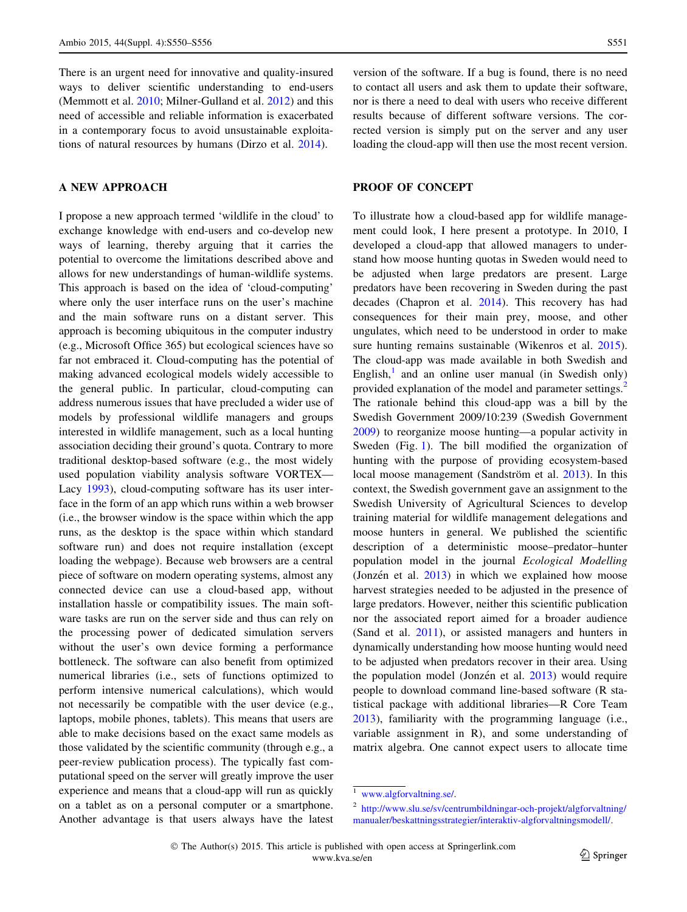There is an urgent need for innovative and quality-insured ways to deliver scientific understanding to end-users (Memmott et al. [2010;](#page-5-0) Milner-Gulland et al. [2012\)](#page-5-0) and this need of accessible and reliable information is exacerbated in a contemporary focus to avoid unsustainable exploitations of natural resources by humans (Dirzo et al. [2014](#page-5-0)).

#### A NEW APPROACH

I propose a new approach termed 'wildlife in the cloud' to exchange knowledge with end-users and co-develop new ways of learning, thereby arguing that it carries the potential to overcome the limitations described above and allows for new understandings of human-wildlife systems. This approach is based on the idea of 'cloud-computing' where only the user interface runs on the user's machine and the main software runs on a distant server. This approach is becoming ubiquitous in the computer industry (e.g., Microsoft Office 365) but ecological sciences have so far not embraced it. Cloud-computing has the potential of making advanced ecological models widely accessible to the general public. In particular, cloud-computing can address numerous issues that have precluded a wider use of models by professional wildlife managers and groups interested in wildlife management, such as a local hunting association deciding their ground's quota. Contrary to more traditional desktop-based software (e.g., the most widely used population viability analysis software VORTEX— Lacy [1993](#page-5-0)), cloud-computing software has its user interface in the form of an app which runs within a web browser (i.e., the browser window is the space within which the app runs, as the desktop is the space within which standard software run) and does not require installation (except loading the webpage). Because web browsers are a central piece of software on modern operating systems, almost any connected device can use a cloud-based app, without installation hassle or compatibility issues. The main software tasks are run on the server side and thus can rely on the processing power of dedicated simulation servers without the user's own device forming a performance bottleneck. The software can also benefit from optimized numerical libraries (i.e., sets of functions optimized to perform intensive numerical calculations), which would not necessarily be compatible with the user device (e.g., laptops, mobile phones, tablets). This means that users are able to make decisions based on the exact same models as those validated by the scientific community (through e.g., a peer-review publication process). The typically fast computational speed on the server will greatly improve the user experience and means that a cloud-app will run as quickly on a tablet as on a personal computer or a smartphone. Another advantage is that users always have the latest

version of the software. If a bug is found, there is no need to contact all users and ask them to update their software, nor is there a need to deal with users who receive different results because of different software versions. The corrected version is simply put on the server and any user loading the cloud-app will then use the most recent version.

### PROOF OF CONCEPT

To illustrate how a cloud-based app for wildlife management could look, I here present a prototype. In 2010, I developed a cloud-app that allowed managers to understand how moose hunting quotas in Sweden would need to be adjusted when large predators are present. Large predators have been recovering in Sweden during the past decades (Chapron et al. [2014](#page-5-0)). This recovery has had consequences for their main prey, moose, and other ungulates, which need to be understood in order to make sure hunting remains sustainable (Wikenros et al. [2015](#page-6-0)). The cloud-app was made available in both Swedish and English, $\frac{1}{1}$  and an online user manual (in Swedish only) provided explanation of the model and parameter settings.<sup>2</sup> The rationale behind this cloud-app was a bill by the Swedish Government 2009/10:239 (Swedish Government [2009](#page-5-0)) to reorganize moose hunting—a popular activity in Sweden (Fig. [1\)](#page-2-0). The bill modified the organization of hunting with the purpose of providing ecosystem-based local moose management (Sandström et al. [2013](#page-5-0)). In this context, the Swedish government gave an assignment to the Swedish University of Agricultural Sciences to develop training material for wildlife management delegations and moose hunters in general. We published the scientific description of a deterministic moose–predator–hunter population model in the journal Ecological Modelling (Jonzén et al.  $2013$ ) in which we explained how moose harvest strategies needed to be adjusted in the presence of large predators. However, neither this scientific publication nor the associated report aimed for a broader audience (Sand et al. [2011\)](#page-5-0), or assisted managers and hunters in dynamically understanding how moose hunting would need to be adjusted when predators recover in their area. Using the population model (Jonzén et al.  $2013$ ) would require people to download command line-based software (R statistical package with additional libraries—R Core Team [2013](#page-5-0)), familiarity with the programming language (i.e., variable assignment in R), and some understanding of matrix algebra. One cannot expect users to allocate time

<sup>2</sup> [http://www.slu.se/sv/centrumbildningar-och-projekt/algforvaltning/](http://www.slu.se/sv/centrumbildningar-och-projekt/algforvaltning/manualer/beskattningsstrategier/interaktiv-algforvaltningsmodell/) [manualer/beskattningsstrategier/interaktiv-algforvaltningsmodell/.](http://www.slu.se/sv/centrumbildningar-och-projekt/algforvaltning/manualer/beskattningsstrategier/interaktiv-algforvaltningsmodell/)

<sup>1</sup> [www.algforvaltning.se/.](http://www.algforvaltning.se/)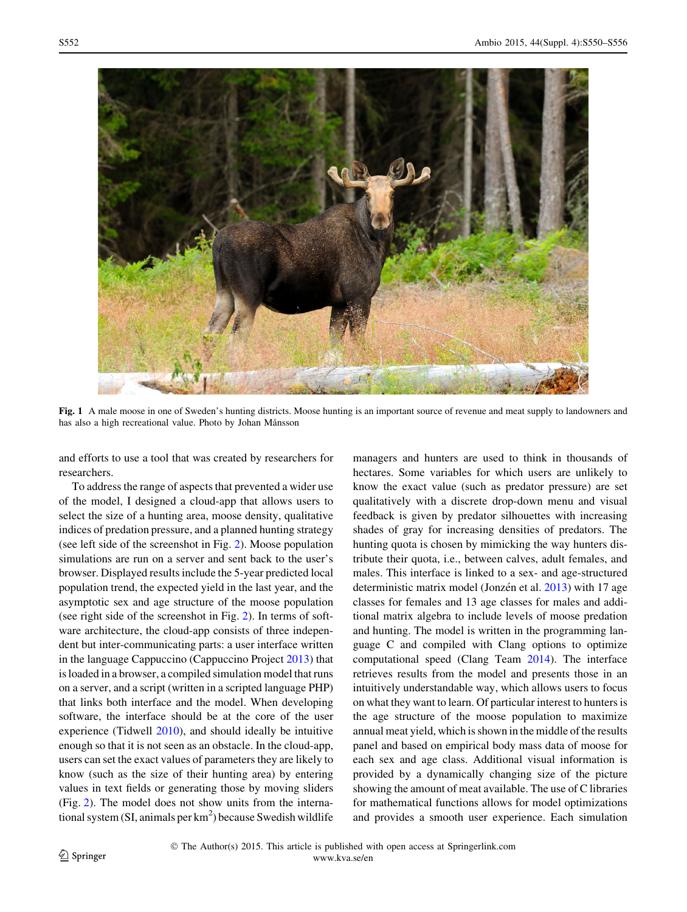<span id="page-2-0"></span>

Fig. 1 A male moose in one of Sweden's hunting districts. Moose hunting is an important source of revenue and meat supply to landowners and has also a high recreational value. Photo by Johan Månsson

and efforts to use a tool that was created by researchers for researchers.

To address the range of aspects that prevented a wider use of the model, I designed a cloud-app that allows users to select the size of a hunting area, moose density, qualitative indices of predation pressure, and a planned hunting strategy (see left side of the screenshot in Fig. [2](#page-3-0)). Moose population simulations are run on a server and sent back to the user's browser. Displayed results include the 5-year predicted local population trend, the expected yield in the last year, and the asymptotic sex and age structure of the moose population (see right side of the screenshot in Fig. [2](#page-3-0)). In terms of software architecture, the cloud-app consists of three independent but inter-communicating parts: a user interface written in the language Cappuccino (Cappuccino Project [2013](#page-5-0)) that is loaded in a browser, a compiled simulation model that runs on a server, and a script (written in a scripted language PHP) that links both interface and the model. When developing software, the interface should be at the core of the user experience (Tidwell [2010\)](#page-5-0), and should ideally be intuitive enough so that it is not seen as an obstacle. In the cloud-app, users can set the exact values of parameters they are likely to know (such as the size of their hunting area) by entering values in text fields or generating those by moving sliders (Fig. [2\)](#page-3-0). The model does not show units from the international system (SI, animals per  $km^2$ ) because Swedish wildlife

managers and hunters are used to think in thousands of hectares. Some variables for which users are unlikely to know the exact value (such as predator pressure) are set qualitatively with a discrete drop-down menu and visual feedback is given by predator silhouettes with increasing shades of gray for increasing densities of predators. The hunting quota is chosen by mimicking the way hunters distribute their quota, i.e., between calves, adult females, and males. This interface is linked to a sex- and age-structured deterministic matrix model (Jonzén et al. [2013](#page-5-0)) with 17 age classes for females and 13 age classes for males and additional matrix algebra to include levels of moose predation and hunting. The model is written in the programming language C and compiled with Clang options to optimize computational speed (Clang Team [2014](#page-5-0)). The interface retrieves results from the model and presents those in an intuitively understandable way, which allows users to focus on what they want to learn. Of particular interest to hunters is the age structure of the moose population to maximize annual meat yield, which is shown in the middle of the results panel and based on empirical body mass data of moose for each sex and age class. Additional visual information is provided by a dynamically changing size of the picture showing the amount of meat available. The use of C libraries for mathematical functions allows for model optimizations and provides a smooth user experience. Each simulation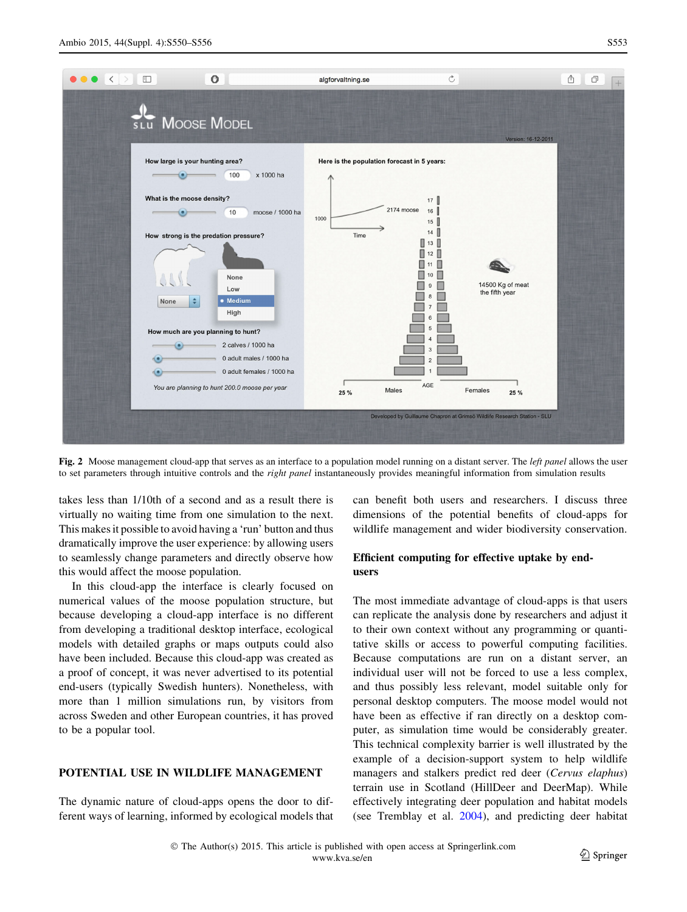<span id="page-3-0"></span>

Fig. 2 Moose management cloud-app that serves as an interface to a population model running on a distant server. The *left panel* allows the user to set parameters through intuitive controls and the *right panel* instantaneously provides meaningful information from simulation results

takes less than 1/10th of a second and as a result there is virtually no waiting time from one simulation to the next. This makes it possible to avoid having a 'run' button and thus dramatically improve the user experience: by allowing users to seamlessly change parameters and directly observe how this would affect the moose population.

In this cloud-app the interface is clearly focused on numerical values of the moose population structure, but because developing a cloud-app interface is no different from developing a traditional desktop interface, ecological models with detailed graphs or maps outputs could also have been included. Because this cloud-app was created as a proof of concept, it was never advertised to its potential end-users (typically Swedish hunters). Nonetheless, with more than 1 million simulations run, by visitors from across Sweden and other European countries, it has proved to be a popular tool.

# POTENTIAL USE IN WILDLIFE MANAGEMENT

The dynamic nature of cloud-apps opens the door to different ways of learning, informed by ecological models that can benefit both users and researchers. I discuss three dimensions of the potential benefits of cloud-apps for wildlife management and wider biodiversity conservation.

# Efficient computing for effective uptake by endusers

The most immediate advantage of cloud-apps is that users can replicate the analysis done by researchers and adjust it to their own context without any programming or quantitative skills or access to powerful computing facilities. Because computations are run on a distant server, an individual user will not be forced to use a less complex, and thus possibly less relevant, model suitable only for personal desktop computers. The moose model would not have been as effective if ran directly on a desktop computer, as simulation time would be considerably greater. This technical complexity barrier is well illustrated by the example of a decision-support system to help wildlife managers and stalkers predict red deer (Cervus elaphus) terrain use in Scotland (HillDeer and DeerMap). While effectively integrating deer population and habitat models (see Tremblay et al. [2004\)](#page-6-0), and predicting deer habitat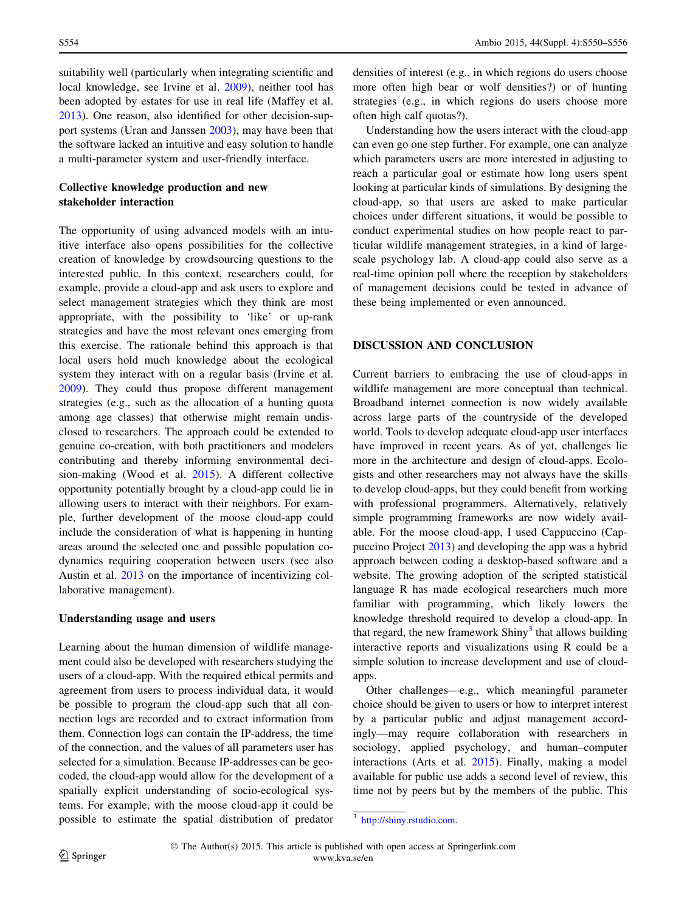suitability well (particularly when integrating scientific and local knowledge, see Irvine et al. [2009\)](#page-5-0), neither tool has been adopted by estates for use in real life (Maffey et al. [2013\)](#page-5-0). One reason, also identified for other decision-support systems (Uran and Janssen [2003](#page-6-0)), may have been that the software lacked an intuitive and easy solution to handle a multi-parameter system and user-friendly interface.

# Collective knowledge production and new stakeholder interaction

The opportunity of using advanced models with an intuitive interface also opens possibilities for the collective creation of knowledge by crowdsourcing questions to the interested public. In this context, researchers could, for example, provide a cloud-app and ask users to explore and select management strategies which they think are most appropriate, with the possibility to 'like' or up-rank strategies and have the most relevant ones emerging from this exercise. The rationale behind this approach is that local users hold much knowledge about the ecological system they interact with on a regular basis (Irvine et al. [2009\)](#page-5-0). They could thus propose different management strategies (e.g., such as the allocation of a hunting quota among age classes) that otherwise might remain undisclosed to researchers. The approach could be extended to genuine co-creation, with both practitioners and modelers contributing and thereby informing environmental decision-making (Wood et al. [2015\)](#page-6-0). A different collective opportunity potentially brought by a cloud-app could lie in allowing users to interact with their neighbors. For example, further development of the moose cloud-app could include the consideration of what is happening in hunting areas around the selected one and possible population codynamics requiring cooperation between users (see also Austin et al. [2013](#page-5-0) on the importance of incentivizing collaborative management).

#### Understanding usage and users

Learning about the human dimension of wildlife management could also be developed with researchers studying the users of a cloud-app. With the required ethical permits and agreement from users to process individual data, it would be possible to program the cloud-app such that all connection logs are recorded and to extract information from them. Connection logs can contain the IP-address, the time of the connection, and the values of all parameters user has selected for a simulation. Because IP-addresses can be geocoded, the cloud-app would allow for the development of a spatially explicit understanding of socio-ecological systems. For example, with the moose cloud-app it could be possible to estimate the spatial distribution of predator densities of interest (e.g., in which regions do users choose more often high bear or wolf densities?) or of hunting strategies (e.g., in which regions do users choose more often high calf quotas?).

Understanding how the users interact with the cloud-app can even go one step further. For example, one can analyze which parameters users are more interested in adjusting to reach a particular goal or estimate how long users spent looking at particular kinds of simulations. By designing the cloud-app, so that users are asked to make particular choices under different situations, it would be possible to conduct experimental studies on how people react to particular wildlife management strategies, in a kind of largescale psychology lab. A cloud-app could also serve as a real-time opinion poll where the reception by stakeholders of management decisions could be tested in advance of these being implemented or even announced.

### DISCUSSION AND CONCLUSION

Current barriers to embracing the use of cloud-apps in wildlife management are more conceptual than technical. Broadband internet connection is now widely available across large parts of the countryside of the developed world. Tools to develop adequate cloud-app user interfaces have improved in recent years. As of yet, challenges lie more in the architecture and design of cloud-apps. Ecologists and other researchers may not always have the skills to develop cloud-apps, but they could benefit from working with professional programmers. Alternatively, relatively simple programming frameworks are now widely available. For the moose cloud-app, I used Cappuccino (Cappuccino Project [2013](#page-5-0)) and developing the app was a hybrid approach between coding a desktop-based software and a website. The growing adoption of the scripted statistical language R has made ecological researchers much more familiar with programming, which likely lowers the knowledge threshold required to develop a cloud-app. In that regard, the new framework  $Shiny<sup>3</sup>$  that allows building interactive reports and visualizations using R could be a simple solution to increase development and use of cloudapps.

Other challenges—e.g., which meaningful parameter choice should be given to users or how to interpret interest by a particular public and adjust management accordingly—may require collaboration with researchers in sociology, applied psychology, and human–computer interactions (Arts et al. [2015](#page-5-0)). Finally, making a model available for public use adds a second level of review, this time not by peers but by the members of the public. This

<sup>3</sup> [http://shiny.rstudio.com.](http://shiny.rstudio.com)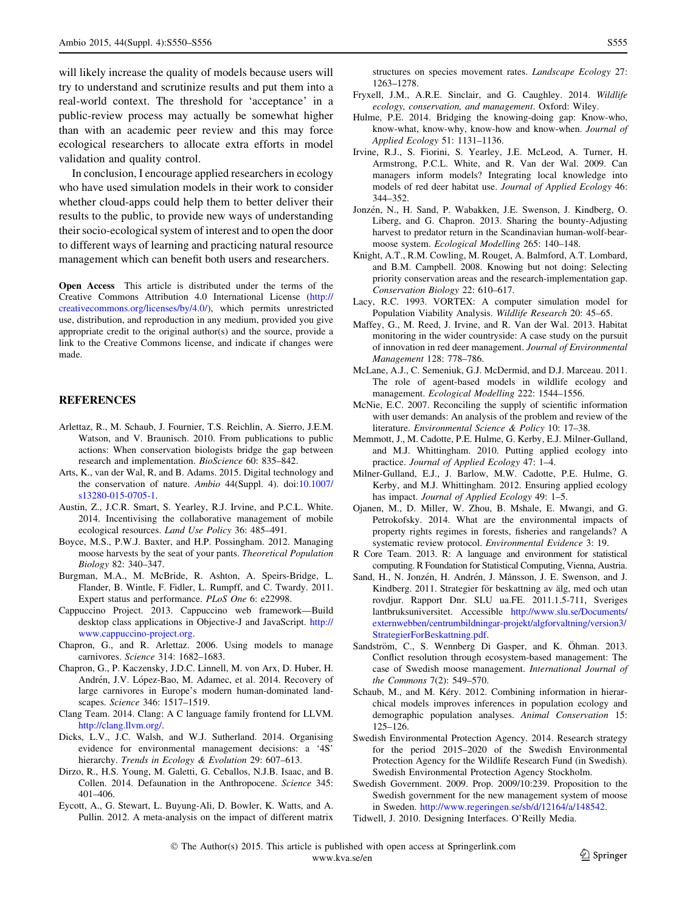<span id="page-5-0"></span>will likely increase the quality of models because users will try to understand and scrutinize results and put them into a real-world context. The threshold for 'acceptance' in a public-review process may actually be somewhat higher than with an academic peer review and this may force ecological researchers to allocate extra efforts in model validation and quality control.

In conclusion, I encourage applied researchers in ecology who have used simulation models in their work to consider whether cloud-apps could help them to better deliver their results to the public, to provide new ways of understanding their socio-ecological system of interest and to open the door to different ways of learning and practicing natural resource management which can benefit both users and researchers.

Open Access This article is distributed under the terms of the Creative Commons Attribution 4.0 International License ([http://](http://creativecommons.org/licenses/by/4.0/) [creativecommons.org/licenses/by/4.0/\)](http://creativecommons.org/licenses/by/4.0/), which permits unrestricted use, distribution, and reproduction in any medium, provided you give appropriate credit to the original author(s) and the source, provide a link to the Creative Commons license, and indicate if changes were made.

#### REFERENCES

- Arlettaz, R., M. Schaub, J. Fournier, T.S. Reichlin, A. Sierro, J.E.M. Watson, and V. Braunisch. 2010. From publications to public actions: When conservation biologists bridge the gap between research and implementation. BioScience 60: 835–842.
- Arts, K., van der Wal, R, and B. Adams. 2015. Digital technology and the conservation of nature. Ambio 44(Suppl. 4). doi[:10.1007/](http://dx.doi.org/10.1007/s13280-015-0705-1) [s13280-015-0705-1.](http://dx.doi.org/10.1007/s13280-015-0705-1)
- Austin, Z., J.C.R. Smart, S. Yearley, R.J. Irvine, and P.C.L. White. 2014. Incentivising the collaborative management of mobile ecological resources. Land Use Policy 36: 485–491.
- Boyce, M.S., P.W.J. Baxter, and H.P. Possingham. 2012. Managing moose harvests by the seat of your pants. Theoretical Population Biology 82: 340–347.
- Burgman, M.A., M. McBride, R. Ashton, A. Speirs-Bridge, L. Flander, B. Wintle, F. Fidler, L. Rumpff, and C. Twardy. 2011. Expert status and performance. PLoS One 6: e22998.
- Cappuccino Project. 2013. Cappuccino web framework—Build desktop class applications in Objective-J and JavaScript. [http://](http://www.cappuccino-project.org) [www.cappuccino-project.org](http://www.cappuccino-project.org).
- Chapron, G., and R. Arlettaz. 2006. Using models to manage carnivores. Science 314: 1682–1683.
- Chapron, G., P. Kaczensky, J.D.C. Linnell, M. von Arx, D. Huber, H. Andrén, J.V. López-Bao, M. Adamec, et al. 2014. Recovery of large carnivores in Europe's modern human-dominated landscapes. Science 346: 1517–1519.
- Clang Team. 2014. Clang: A C language family frontend for LLVM. <http://clang.llvm.org/>.
- Dicks, L.V., J.C. Walsh, and W.J. Sutherland. 2014. Organising evidence for environmental management decisions: a '4S' hierarchy. Trends in Ecology & Evolution 29: 607-613.
- Dirzo, R., H.S. Young, M. Galetti, G. Ceballos, N.J.B. Isaac, and B. Collen. 2014. Defaunation in the Anthropocene. Science 345: 401–406.
- Eycott, A., G. Stewart, L. Buyung-Ali, D. Bowler, K. Watts, and A. Pullin. 2012. A meta-analysis on the impact of different matrix

structures on species movement rates. Landscape Ecology 27: 1263–1278.

- Fryxell, J.M., A.R.E. Sinclair, and G. Caughley. 2014. Wildlife ecology, conservation, and management. Oxford: Wiley.
- Hulme, P.E. 2014. Bridging the knowing-doing gap: Know-who, know-what, know-why, know-how and know-when. Journal of Applied Ecology 51: 1131–1136.
- Irvine, R.J., S. Fiorini, S. Yearley, J.E. McLeod, A. Turner, H. Armstrong, P.C.L. White, and R. Van der Wal. 2009. Can managers inform models? Integrating local knowledge into models of red deer habitat use. Journal of Applied Ecology 46: 344–352.
- Jonzén, N., H. Sand, P. Wabakken, J.E. Swenson, J. Kindberg, O. Liberg, and G. Chapron. 2013. Sharing the bounty-Adjusting harvest to predator return in the Scandinavian human-wolf-bearmoose system. Ecological Modelling 265: 140–148.
- Knight, A.T., R.M. Cowling, M. Rouget, A. Balmford, A.T. Lombard, and B.M. Campbell. 2008. Knowing but not doing: Selecting priority conservation areas and the research-implementation gap. Conservation Biology 22: 610–617.
- Lacy, R.C. 1993. VORTEX: A computer simulation model for Population Viability Analysis. Wildlife Research 20: 45–65.
- Maffey, G., M. Reed, J. Irvine, and R. Van der Wal. 2013. Habitat monitoring in the wider countryside: A case study on the pursuit of innovation in red deer management. Journal of Environmental Management 128: 778–786.
- McLane, A.J., C. Semeniuk, G.J. McDermid, and D.J. Marceau. 2011. The role of agent-based models in wildlife ecology and management. Ecological Modelling 222: 1544–1556.
- McNie, E.C. 2007. Reconciling the supply of scientific information with user demands: An analysis of the problem and review of the literature. Environmental Science & Policy 10: 17–38.
- Memmott, J., M. Cadotte, P.E. Hulme, G. Kerby, E.J. Milner-Gulland, and M.J. Whittingham. 2010. Putting applied ecology into practice. Journal of Applied Ecology 47: 1–4.
- Milner-Gulland, E.J., J. Barlow, M.W. Cadotte, P.E. Hulme, G. Kerby, and M.J. Whittingham. 2012. Ensuring applied ecology has impact. Journal of Applied Ecology 49: 1-5.
- Ojanen, M., D. Miller, W. Zhou, B. Mshale, E. Mwangi, and G. Petrokofsky. 2014. What are the environmental impacts of property rights regimes in forests, fisheries and rangelands? A systematic review protocol. Environmental Evidence 3: 19.
- R Core Team. 2013. R: A language and environment for statistical computing. R Foundation for Statistical Computing, Vienna, Austria.
- Sand, H., N. Jonzén, H. Andrén, J. Månsson, J. E. Swenson, and J. Kindberg. 2011. Strategier för beskattning av älg, med och utan rovdjur. Rapport Dnr. SLU ua.FE. 2011.1.5-711, Sveriges lantbruksuniversitet. Accessible [http://www.slu.se/Documents/](http://www.slu.se/Documents/externwebben/centrumbildningar-projekt/algforvaltning/version3/StrategierForBeskattning.pdf) [externwebben/centrumbildningar-projekt/algforvaltning/version3/](http://www.slu.se/Documents/externwebben/centrumbildningar-projekt/algforvaltning/version3/StrategierForBeskattning.pdf) [StrategierForBeskattning.pdf.](http://www.slu.se/Documents/externwebben/centrumbildningar-projekt/algforvaltning/version3/StrategierForBeskattning.pdf)
- Sandström, C., S. Wennberg Di Gasper, and K. Öhman. 2013. Conflict resolution through ecosystem-based management: The case of Swedish moose management. International Journal of the Commons 7(2): 549–570.
- Schaub, M., and M. Kéry. 2012. Combining information in hierarchical models improves inferences in population ecology and demographic population analyses. Animal Conservation 15: 125–126.
- Swedish Environmental Protection Agency. 2014. Research strategy for the period 2015–2020 of the Swedish Environmental Protection Agency for the Wildlife Research Fund (in Swedish). Swedish Environmental Protection Agency Stockholm.
- Swedish Government. 2009. Prop. 2009/10:239. Proposition to the Swedish government for the new management system of moose in Sweden. [http://www.regeringen.se/sb/d/12164/a/148542.](http://www.regeringen.se/sb/d/12164/a/148542)
- Tidwell, J. 2010. Designing Interfaces. O'Reilly Media.